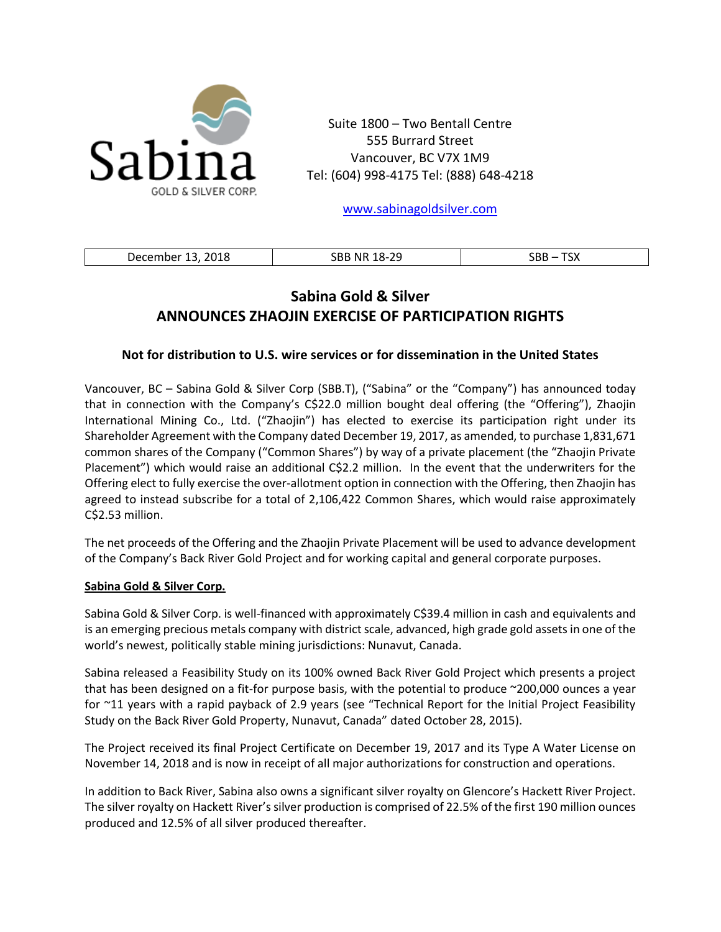

Suite 1800 – Two Bentall Centre 555 Burrard Street Vancouver, BC V7X 1M9 Tel: (604) 998-4175 Tel: (888) 648-4218

[www.sabinagoldsilver.com](http://www.sabinagoldsilver.com/)

| חח־<br>0.010<br>ם כ<br>∠ປ18<br><br>بدر.<br>INF<br>.<br>$\sim$ $-$<br>חחו<br>. ٨د<br>JUL<br>---<br>--<br>_____ |
|---------------------------------------------------------------------------------------------------------------|
|---------------------------------------------------------------------------------------------------------------|

## **Sabina Gold & Silver ANNOUNCES ZHAOJIN EXERCISE OF PARTICIPATION RIGHTS**

## **Not for distribution to U.S. wire services or for dissemination in the United States**

Vancouver, BC – Sabina Gold & Silver Corp (SBB.T), ("Sabina" or the "Company") has announced today that in connection with the Company's C\$22.0 million bought deal offering (the "Offering"), Zhaojin International Mining Co., Ltd. ("Zhaojin") has elected to exercise its participation right under its Shareholder Agreement with the Company dated December 19, 2017, as amended, to purchase 1,831,671 common shares of the Company ("Common Shares") by way of a private placement (the "Zhaojin Private Placement") which would raise an additional C\$2.2 million. In the event that the underwriters for the Offering elect to fully exercise the over-allotment option in connection with the Offering, then Zhaojin has agreed to instead subscribe for a total of 2,106,422 Common Shares, which would raise approximately C\$2.53 million.

The net proceeds of the Offering and the Zhaojin Private Placement will be used to advance development of the Company's Back River Gold Project and for working capital and general corporate purposes.

## **Sabina Gold & Silver Corp.**

Sabina Gold & Silver Corp. is well-financed with approximately C\$39.4 million in cash and equivalents and is an emerging precious metals company with district scale, advanced, high grade gold assets in one of the world's newest, politically stable mining jurisdictions: Nunavut, Canada.

Sabina released a Feasibility Study on its 100% owned Back River Gold Project which presents a project that has been designed on a fit-for purpose basis, with the potential to produce ~200,000 ounces a year for ~11 years with a rapid payback of 2.9 years (see "Technical Report for the Initial Project Feasibility Study on the Back River Gold Property, Nunavut, Canada" dated October 28, 2015).

The Project received its final Project Certificate on December 19, 2017 and its Type A Water License on November 14, 2018 and is now in receipt of all major authorizations for construction and operations.

In addition to Back River, Sabina also owns a significant silver royalty on Glencore's Hackett River Project. The silver royalty on Hackett River's silver production is comprised of 22.5% of the first 190 million ounces produced and 12.5% of all silver produced thereafter.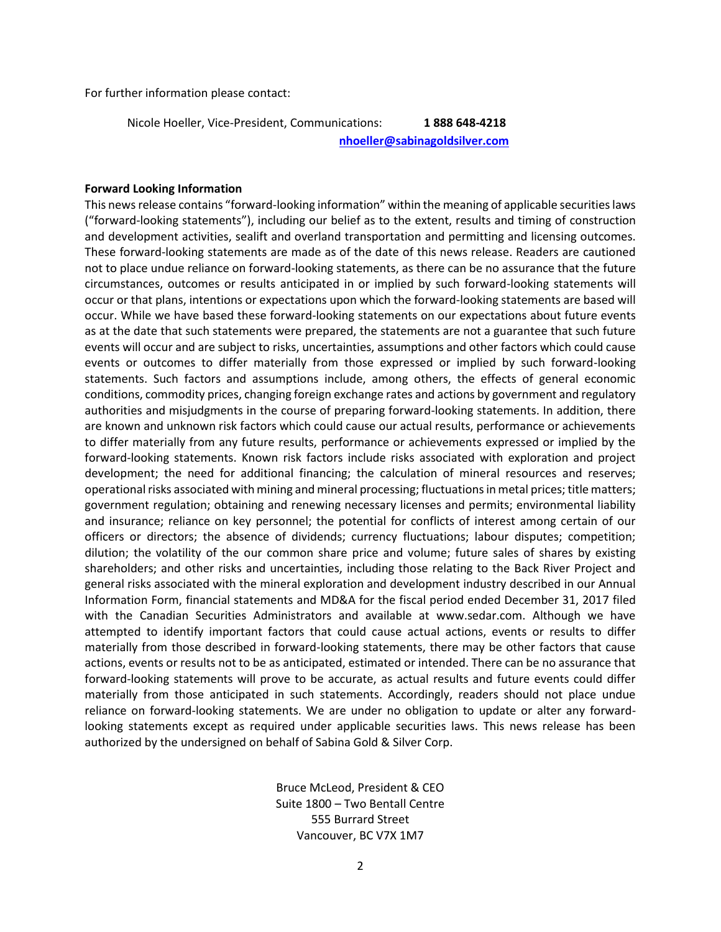For further information please contact:

Nicole Hoeller, Vice-President, Communications: **1 888 648-4218 [nhoeller@sabinagoldsilver.com](mailto:nhoeller@sabinagoldsilver.com)**

## **Forward Looking Information**

This news release contains "forward-looking information" within the meaning of applicable securities laws ("forward-looking statements"), including our belief as to the extent, results and timing of construction and development activities, sealift and overland transportation and permitting and licensing outcomes. These forward-looking statements are made as of the date of this news release. Readers are cautioned not to place undue reliance on forward-looking statements, as there can be no assurance that the future circumstances, outcomes or results anticipated in or implied by such forward-looking statements will occur or that plans, intentions or expectations upon which the forward-looking statements are based will occur. While we have based these forward-looking statements on our expectations about future events as at the date that such statements were prepared, the statements are not a guarantee that such future events will occur and are subject to risks, uncertainties, assumptions and other factors which could cause events or outcomes to differ materially from those expressed or implied by such forward-looking statements. Such factors and assumptions include, among others, the effects of general economic conditions, commodity prices, changing foreign exchange rates and actions by government and regulatory authorities and misjudgments in the course of preparing forward-looking statements. In addition, there are known and unknown risk factors which could cause our actual results, performance or achievements to differ materially from any future results, performance or achievements expressed or implied by the forward-looking statements. Known risk factors include risks associated with exploration and project development; the need for additional financing; the calculation of mineral resources and reserves; operational risks associated with mining and mineral processing; fluctuations in metal prices; title matters; government regulation; obtaining and renewing necessary licenses and permits; environmental liability and insurance; reliance on key personnel; the potential for conflicts of interest among certain of our officers or directors; the absence of dividends; currency fluctuations; labour disputes; competition; dilution; the volatility of the our common share price and volume; future sales of shares by existing shareholders; and other risks and uncertainties, including those relating to the Back River Project and general risks associated with the mineral exploration and development industry described in our Annual Information Form, financial statements and MD&A for the fiscal period ended December 31, 2017 filed with the Canadian Securities Administrators and available at www.sedar.com. Although we have attempted to identify important factors that could cause actual actions, events or results to differ materially from those described in forward-looking statements, there may be other factors that cause actions, events or results not to be as anticipated, estimated or intended. There can be no assurance that forward-looking statements will prove to be accurate, as actual results and future events could differ materially from those anticipated in such statements. Accordingly, readers should not place undue reliance on forward-looking statements. We are under no obligation to update or alter any forwardlooking statements except as required under applicable securities laws. This news release has been authorized by the undersigned on behalf of Sabina Gold & Silver Corp.

> Bruce McLeod, President & CEO Suite 1800 – Two Bentall Centre 555 Burrard Street Vancouver, BC V7X 1M7